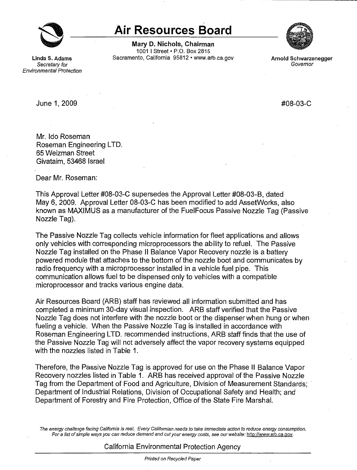

## **0 Air Resources Board**

**Mary D. Nichols, Chairman** 1001 I Street• P.O. Box 2815 **Linda S. Adams** Sacramento, California 95812 • www.arb.ca.gov **Arnold Schwarzenegger** 



Secretary for Governor Environmental Protection

June 1, 2009 #08-03-C

Mr. Ida Roseman Roseman Engineering LTD. 65 Weizman Street Givataim, 53468 Israel

Dear Mr. Roseman:

This Approval Letter #08-03-C supersedes the Approval Letter #08-03-8, dated May 6, 2009. Approval Letter 08-03-C has been modified to add AssetWorks, also known as MAXIMUS as a manufacturer of the Fuel Focus Passive Nozzle Tag (Passive Nozzle Tag).

The Passive Nozzle Tag collects vehicle information for fleet applications.and allows only vehicles with corresponding microprocessors the ability to refuel. The Passive Nozzle Tag installed on the Phase II Balance Vapor Recovery nozzle is a battery powered module that attaches to the bottom of the nozzle boot and communicates by radio frequency with a microprocessor installed in a vehicle fuel pipe. This communication allows fuel to be dispensed only to vehicles with a compatible microprocessor and tracks various engine data.

Air Resources Board (ARB) staff has reviewed all information submitted and has completed a minimum 30-day visual inspection. ARB staff verified that the Passive Nozzle Tag does not interfere with the nozzle boot or the dispenser when hung or when fueling a vehicle. When the Passive Nozzle Tag is installed in accordance with Roseman Engineering LTD. recommended instructions, ARB staff finds that the use of the Passive Nozzle Tag will not adversely affect the vapor recovery systems equipped with the nozzles listed in Table 1.

Therefore, the Passive Nozzle Tag is approved for use on the Phase II Balance Vapor Recovery nozzles listed in Table 1. ARB has received approval of the Passive Nozzle Tag from the Department of Food and Agriculture, Division of Measurement Standards; · Department of Industrial Relations, Division of Occupational Safety and Health; and Department of Forestry and Fire Protection, Office of the State Fire Marshal.

The energy challenge facing California is real. Every Californian needs to take immediate action to reduce energy consumption. For a list of simple ways you can reduce demand and cut your energy costs, see our website: [http://www.arb.ca.gov.](http://www.arb.ca.gov)

## California Environmental Protection Agency